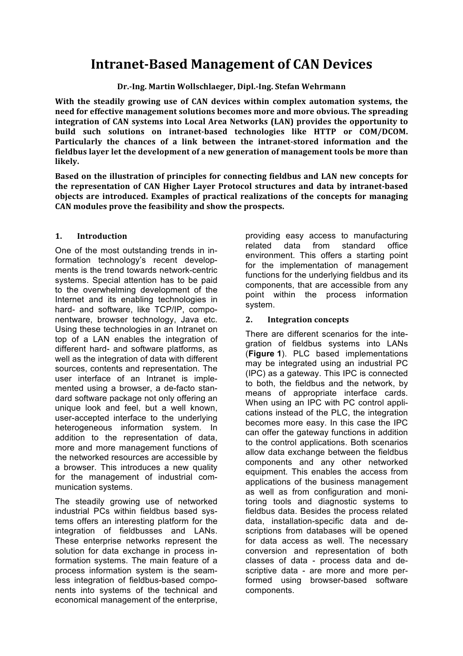# **Intranet-Based Management of CAN Devices**

**Dr.-Ing. Martin Wollschlaeger, Dipl.-Ing. Stefan Wehrmann**

With the steadily growing use of CAN devices within complex automation systems, the **need for effective management solutions becomes more and more obvious. The spreading** integration of CAN systems into Local Area Networks (LAN) provides the opportunity to build such solutions on intranet-based technologies like HTTP or COM/DCOM. Particularly the chances of a link between the intranet-stored information and the fieldbus layer let the development of a new generation of management tools be more than **likely.**

Based on the illustration of principles for connecting fieldbus and LAN new concepts for the representation of CAN Higher Layer Protocol structures and data by intranet-based **objects** are introduced. Examples of practical realizations of the concepts for managing CAN modules prove the feasibility and show the prospects.

# **1. Introduction**

One of the most outstanding trends in information technology's recent developments is the trend towards network-centric systems. Special attention has to be paid to the overwhelming development of the Internet and its enabling technologies in hard- and software, like TCP/IP, componentware, browser technology, Java etc. Using these technologies in an Intranet on top of a LAN enables the integration of different hard- and software platforms, as well as the integration of data with different sources, contents and representation. The user interface of an Intranet is implemented using a browser, a de-facto standard software package not only offering an unique look and feel, but a well known, user-accepted interface to the underlying heterogeneous information system. In addition to the representation of data, more and more management functions of the networked resources are accessible by a browser. This introduces a new quality for the management of industrial communication systems.

The steadily growing use of networked industrial PCs within fieldbus based systems offers an interesting platform for the integration of fieldbusses and LANs. These enterprise networks represent the solution for data exchange in process information systems. The main feature of a process information system is the seamless integration of fieldbus-based components into systems of the technical and economical management of the enterprise, providing easy access to manufacturing related data from standard office environment. This offers a starting point for the implementation of management functions for the underlying fieldbus and its components, that are accessible from any point within the process information system.

# **2. Integration concepts**

There are different scenarios for the integration of fieldbus systems into LANs (**Figure 1**). PLC based implementations may be integrated using an industrial PC (IPC) as a gateway. This IPC is connected to both, the fieldbus and the network, by means of appropriate interface cards. When using an IPC with PC control applications instead of the PLC, the integration becomes more easy. In this case the IPC can offer the gateway functions in addition to the control applications. Both scenarios allow data exchange between the fieldbus components and any other networked equipment. This enables the access from applications of the business management as well as from configuration and monitoring tools and diagnostic systems to fieldbus data. Besides the process related data, installation-specific data and descriptions from databases will be opened for data access as well. The necessary conversion and representation of both classes of data - process data and descriptive data - are more and more performed using browser-based software components.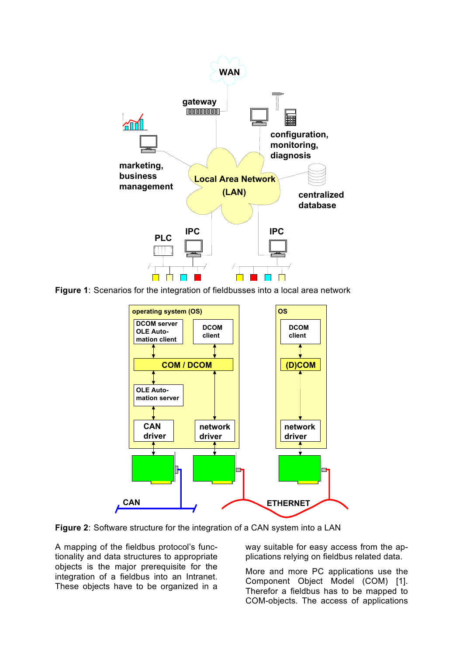

**Figure 1**: Scenarios for the integration of fieldbusses into a local area network



**Figure 2**: Software structure for the integration of a CAN system into a LAN

A mapping of the fieldbus protocol's functionality and data structures to appropriate objects is the major prerequisite for the integration of a fieldbus into an Intranet. These objects have to be organized in a

way suitable for easy access from the applications relying on fieldbus related data.

More and more PC applications use the Component Object Model (COM) [1]. Therefor a fieldbus has to be mapped to COM-objects. The access of applications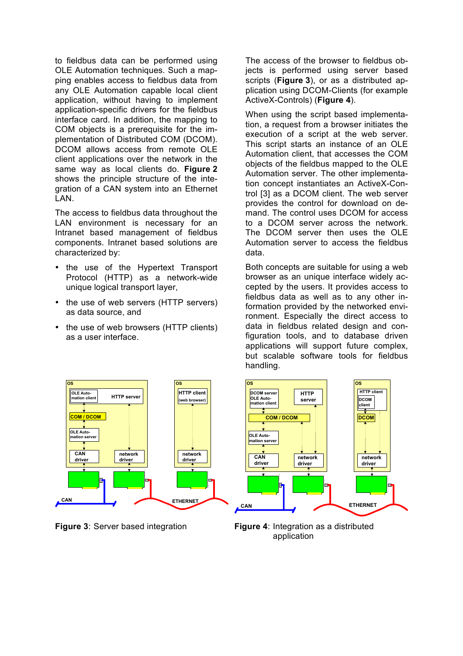to fieldbus data can be performed using OLE Automation techniques. Such a mapping enables access to fieldbus data from any OLE Automation capable local client application, without having to implement application-specific drivers for the fieldbus interface card. In addition, the mapping to COM objects is a prerequisite for the implementation of Distributed COM (DCOM). DCOM allows access from remote OLE client applications over the network in the same way as local clients do. **Figure 2** shows the principle structure of the integration of a CAN system into an Ethernet LAN.

The access to fieldbus data throughout the LAN environment is necessary for an Intranet based management of fieldbus components. Intranet based solutions are characterized by:

- the use of the Hypertext Transport Protocol (HTTP) as a network-wide unique logical transport layer,
- the use of web servers (HTTP servers) as data source, and
- the use of web browsers (HTTP clients) as a user interface.

The access of the browser to fieldbus objects is performed using server based scripts (**Figure 3**), or as a distributed application using DCOM-Clients (for example ActiveX-Controls) (**Figure 4**).

When using the script based implementation, a request from a browser initiates the execution of a script at the web server. This script starts an instance of an OLE Automation client, that accesses the COM objects of the fieldbus mapped to the OLE Automation server. The other implementation concept instantiates an ActiveX-Control [3] as a DCOM client. The web server provides the control for download on demand. The control uses DCOM for access to a DCOM server across the network. The DCOM server then uses the OLE Automation server to access the fieldbus data.

Both concepts are suitable for using a web browser as an unique interface widely accepted by the users. It provides access to fieldbus data as well as to any other information provided by the networked environment. Especially the direct access to data in fieldbus related design and configuration tools, and to database driven applications will support future complex, but scalable software tools for fieldbus handling.





**Figure 3**: Server based integration **Figure 4**: Integration as a distributed application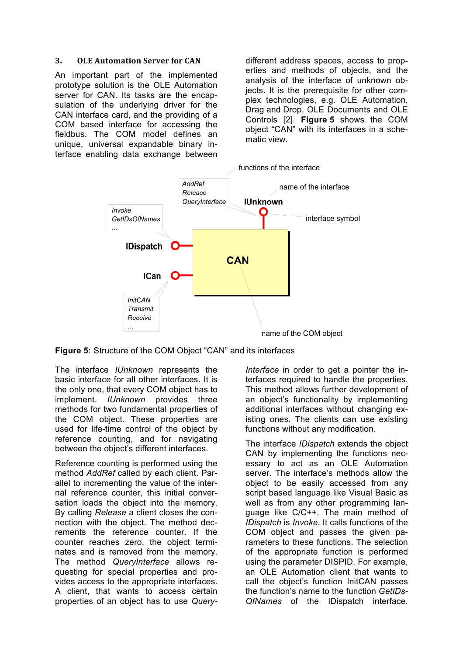#### **3. OLE Automation Server for CAN**

An important part of the implemented prototype solution is the OLE Automation server for CAN. Its tasks are the encapsulation of the underlying driver for the CAN interface card, and the providing of a COM based interface for accessing the fieldbus. The COM model defines an unique, universal expandable binary interface enabling data exchange between

different address spaces, access to properties and methods of objects, and the analysis of the interface of unknown objects. It is the prerequisite for other complex technologies, e.g. OLE Automation, Drag and Drop, OLE Documents and OLE Controls [2]. **Figure 5** shows the COM object "CAN" with its interfaces in a schematic view.

functions of the interface



**Figure 5**: Structure of the COM Object "CAN" and its interfaces

The interface *IUnknown* represents the basic interface for all other interfaces. It is the only one, that every COM object has to implement. *IUnknown* provides three methods for two fundamental properties of the COM object. These properties are used for life-time control of the object by reference counting, and for navigating between the object's different interfaces.

Reference counting is performed using the method *AddRef* called by each client. Parallel to incrementing the value of the internal reference counter, this initial conversation loads the object into the memory. By calling *Release* a client closes the connection with the object. The method decrements the reference counter. If the counter reaches zero, the object terminates and is removed from the memory. The method *QueryInterface* allows requesting for special properties and provides access to the appropriate interfaces. A client, that wants to access certain properties of an object has to use *Query-* *Interface* in order to get a pointer the interfaces required to handle the properties. This method allows further development of an object's functionality by implementing additional interfaces without changing existing ones. The clients can use existing functions without any modification.

The interface *IDispatch* extends the object CAN by implementing the functions necessary to act as an OLE Automation server. The interface's methods allow the object to be easily accessed from any script based language like Visual Basic as well as from any other programming language like C/C++. The main method of *IDispatch* is *Invoke*. It calls functions of the COM object and passes the given parameters to these functions. The selection of the appropriate function is performed using the parameter DISPID. For example, an OLE Automation client that wants to call the object's function InitCAN passes the function's name to the function *GetIDs-OfNames* of the IDispatch interface.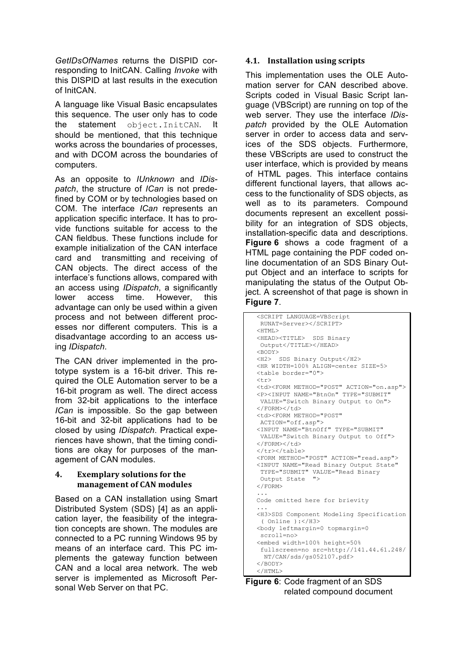*GetIDsOfNames* returns the DISPID corresponding to InitCAN. Calling *Invoke* with this DISPID at last results in the execution of InitCAN.

A language like Visual Basic encapsulates this sequence. The user only has to code the statement object.InitCAN. It should be mentioned, that this technique works across the boundaries of processes, and with DCOM across the boundaries of computers.

As an opposite to *IUnknown* and *IDispatch*, the structure of *ICan* is not predefined by COM or by technologies based on COM. The interface *ICan* represents an application specific interface. It has to provide functions suitable for access to the CAN fieldbus. These functions include for example initialization of the CAN interface card and transmitting and receiving of CAN objects. The direct access of the interface's functions allows, compared with an access using *IDispatch*, a significantly lower access time. However, this advantage can only be used within a given process and not between different processes nor different computers. This is a disadvantage according to an access using *IDispatch*.

The CAN driver implemented in the prototype system is a 16-bit driver. This required the OLE Automation server to be a 16-bit program as well. The direct access from 32-bit applications to the interface *ICan* is impossible. So the gap between 16-bit and 32-bit applications had to be closed by using *IDispatch*. Practical experiences have shown, that the timing conditions are okay for purposes of the management of CAN modules.

#### 4. **Exemplary solutions for the management of CAN modules**

Based on a CAN installation using Smart Distributed System (SDS) [4] as an application layer, the feasibility of the integration concepts are shown. The modules are connected to a PC running Windows 95 by means of an interface card. This PC implements the gateway function between CAN and a local area network. The web server is implemented as Microsoft Personal Web Server on that PC.

# **4.1. Installation using scripts**

This implementation uses the OLE Automation server for CAN described above. Scripts coded in Visual Basic Script language (VBScript) are running on top of the web server. They use the interface *IDispatch* provided by the OLE Automation server in order to access data and services of the SDS objects. Furthermore, these VBScripts are used to construct the user interface, which is provided by means of HTML pages. This interface contains different functional layers, that allows access to the functionality of SDS objects, as well as to its parameters. Compound documents represent an excellent possibility for an integration of SDS objects, installation-specific data and descriptions. **Figure 6** shows a code fragment of a HTML page containing the PDF coded online documentation of an SDS Binary Output Object and an interface to scripts for manipulating the status of the Output Object. A screenshot of that page is shown in **Figure 7**.

```
<SCRIPT LANGUAGE=VBScript
 RUNAT=Server></SCRIPT>
<HTML><HEAD><TITLE> SDS Binary
Output</TITLE></HEAD>
<BODY><H2> SDS Binary Output</H2>
<HR WIDTH=100% ALIGN=center SIZE=5>
<table border="0">
<tr>
<td><FORM METHOD="POST" ACTION="on.asp">
<P><INPUT NAME="BtnOn" TYPE="SUBMIT"
VALUE="Switch Binary Output to On">
</FORM></td>
<td><FORM METHOD="POST" 
ACTION="off.asp">
<INPUT NAME="BtnOff" TYPE="SUBMIT"
VALUE="Switch Binary Output to Off">
</FORM></td>
</tr></table>
<FORM METHOD="POST" ACTION="read.asp">
<INPUT NAME="Read Binary Output State"
TYPE="SUBMIT" VALUE="Read Binary
Output State ">
</FORM>
...
Code omitted here for brievity
...
<H3>SDS Component Modeling Specification
 ( Online ):</H3>
<body leftmargin=0 topmargin=0
scroll=no>
<embed width=100% height=50%
fullscreen=no src=http://141.44.61.248/
  NT/CAN/sds/gs052107.pdf>
</BODY>
</HTML>
```

```
Figure 6: Code fragment of an SDS 
         related compound document
```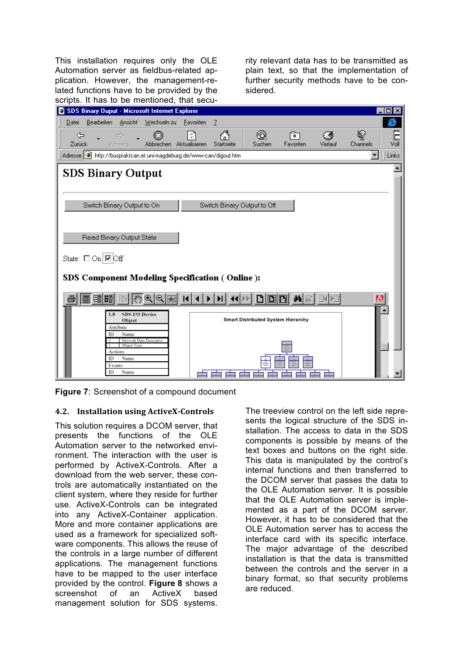This installation requires only the OLE Automation server as fieldbus-related application. However, the management-related functions have to be provided by the scripts. It has to be mentioned, that security relevant data has to be transmitted as plain text, so that the implementation of further security methods have to be considered.

| sonplot it not to be montanted, that social                                                            |                             |                                           |           |         |          |          |
|--------------------------------------------------------------------------------------------------------|-----------------------------|-------------------------------------------|-----------|---------|----------|----------|
| SDS Binary Ouput - Microsoft Internet Explorer                                                         |                             |                                           |           |         |          | п<br>l x |
| Bearbeiten Ansicht Wechseln zu Eavoriten<br>Datei                                                      | $\overline{2}$              |                                           |           |         |          | e        |
| $\Rightarrow$<br>⇦                                                                                     | ়ঁ                          |                                           | क्रा      | Ø       | ❤        | E        |
| Abbrechen Aktualisieren<br>Zurück<br><b>Vorwärts</b>                                                   | Startseite                  | Suchen                                    | Favoriten | Verlauf | Channels | Voll     |
| Adresse   a http://buspraktcan.et.uni-magdeburg.de/www-can/digout.htm<br>Links<br>$\blacktriangledown$ |                             |                                           |           |         |          |          |
|                                                                                                        |                             |                                           |           |         |          |          |
| <b>SDS Binary Output</b>                                                                               |                             |                                           |           |         |          |          |
|                                                                                                        |                             |                                           |           |         |          |          |
|                                                                                                        |                             |                                           |           |         |          |          |
| Switch Binary Output to On                                                                             | Switch Binary Output to Off |                                           |           |         |          |          |
|                                                                                                        |                             |                                           |           |         |          |          |
|                                                                                                        |                             |                                           |           |         |          |          |
| Read Binary Output State                                                                               |                             |                                           |           |         |          |          |
|                                                                                                        |                             |                                           |           |         |          |          |
| State: $\Box$ On $\Box$ Off                                                                            |                             |                                           |           |         |          |          |
|                                                                                                        |                             |                                           |           |         |          |          |
| SDS Component Modeling Specification (Online):                                                         |                             |                                           |           |         |          |          |
|                                                                                                        |                             |                                           |           |         |          |          |
| 调 調<br>i <sub>abci</sub>                                                                               |                             | dini                                      | 的名        |         | M        |          |
| SDS I/O Device<br>0.1                                                                                  |                             |                                           |           |         |          |          |
| Object<br>Attribute                                                                                    |                             | <b>Smart Distributed System Hierarchy</b> |           |         |          |          |
| ID<br>Name                                                                                             |                             |                                           |           |         |          |          |
| Network Data Descriptor<br>Object Type                                                                 |                             |                                           |           |         |          |          |
| Actions<br>m<br>Name                                                                                   |                             |                                           |           |         |          |          |
| Events                                                                                                 |                             |                                           |           |         |          |          |
| ID<br>Name                                                                                             |                             |                                           |           |         |          |          |



## **4.2. Installation using ActiveX-Controls**

This solution requires a DCOM server, that presents the functions of the OLE Automation server to the networked environment. The interaction with the user is performed by ActiveX-Controls. After a download from the web server, these controls are automatically instantiated on the client system, where they reside for further use. ActiveX-Controls can be integrated into any ActiveX-Container application. More and more container applications are used as a framework for specialized software components. This allows the reuse of the controls in a large number of different applications. The management functions have to be mapped to the user interface provided by the control. **Figure 8** shows a screenshot of an ActiveX based management solution for SDS systems.

The treeview control on the left side represents the logical structure of the SDS installation. The access to data in the SDS components is possible by means of the text boxes and buttons on the right side. This data is manipulated by the control's internal functions and then transferred to the DCOM server that passes the data to the OLE Automation server. It is possible that the OLE Automation server is implemented as a part of the DCOM server. However, it has to be considered that the OLE Automation server has to access the interface card with its specific interface. The major advantage of the described installation is that the data is transmitted between the controls and the server in a binary format, so that security problems are reduced.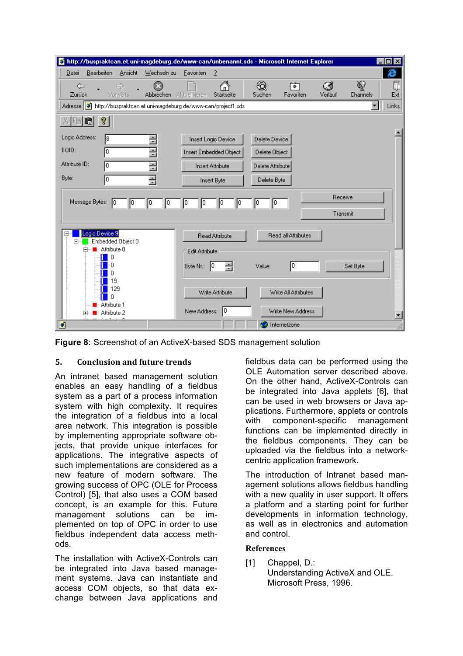

**Figure 8**: Screenshot of an ActiveX-based SDS management solution

## **5. Conclusion and future trends**

An intranet based management solution enables an easy handling of a fieldbus system as a part of a process information system with high complexity. It requires the integration of a fieldbus into a local area network. This integration is possible by implementing appropriate software objects, that provide unique interfaces for applications. The integrative aspects of such implementations are considered as a new feature of modern software. The growing success of OPC (OLE for Process Control) [5], that also uses a COM based concept, is an example for this. Future management solutions can be implemented on top of OPC in order to use fieldbus independent data access methods.

The installation with ActiveX-Controls can be integrated into Java based management systems. Java can instantiate and access COM objects, so that data exchange between Java applications and fieldbus data can be performed using the OLE Automation server described above. On the other hand, ActiveX-Controls can be integrated into Java applets [6], that can be used in web browsers or Java applications. Furthermore, applets or controls with component-specific management functions can be implemented directly in the fieldbus components. They can be uploaded via the fieldbus into a networkcentric application framework.

The introduction of Intranet based management solutions allows fieldbus handling with a new quality in user support. It offers a platform and a starting point for further developments in information technology, as well as in electronics and automation and control.

#### **References**

[1] Chappel, D.: Understanding ActiveX and OLE. Microsoft Press, 1996.